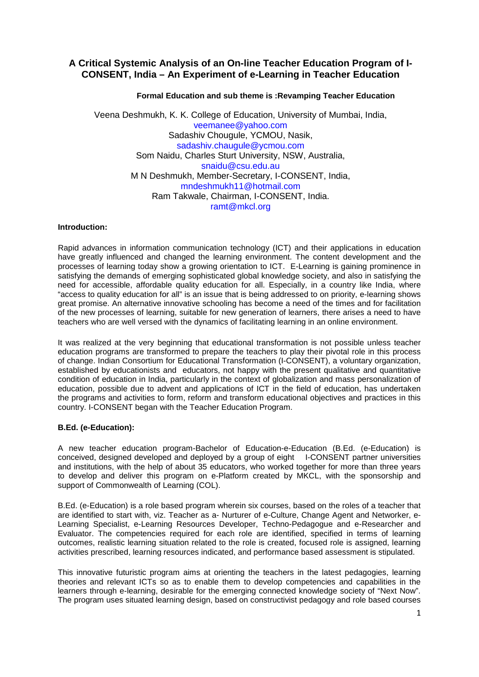# **A Critical Systemic Analysis of an On-line Teacher Education Program of I-CONSENT, India – An Experiment of e-Learning in Teacher Education**

### **Formal Education and sub theme is :Revamping Teacher Education**

Veena Deshmukh, K. K. College of Education, University of Mumbai, India, [veemanee@yahoo.com](mailto:veemanee@yahoo.com) Sadashiv Chougule, YCMOU, Nasik, [sadashiv.chaugule@ycmou.com](http://sn115w.snt115.mail.live.com/mail/EditMessageLight.aspx?MailTo=%22Sadashiv%20Chaugule%2c%20YCMOU%22%20%3csadashiv.chaugule%40ycmou.com%3e&n=1875641466) Som Naidu, Charles Sturt University, NSW, Australia, [snaidu@csu.edu.au](mailto:snaidu@csu.edu.au) M N Deshmukh, Member-Secretary, I-CONSENT, India, [mndeshmukh11@hotmail.com](mailto:mndeshmukh11@hotmail.com) Ram Takwale, Chairman, I-CONSENT, India. [ramt@mkcl.org](http://sn115w.snt115.mail.live.com/mail/EditMessageLight.aspx?MailTo=%22Ram%20Takwale%22%20%3cramt%40mkcl.org%3e&n=288554849)

### **Introduction:**

Rapid advances in information communication technology (ICT) and their applications in education have greatly influenced and changed the learning environment. The content development and the processes of learning today show a growing orientation to ICT. E-Learning is gaining prominence in satisfying the demands of emerging sophisticated global knowledge society, and also in satisfying the need for accessible, affordable quality education for all. Especially, in a country like India, where "access to quality education for all" is an issue that is being addressed to on priority, e-learning shows great promise. An alternative innovative schooling has become a need of the times and for facilitation of the new processes of learning, suitable for new generation of learners, there arises a need to have teachers who are well versed with the dynamics of facilitating learning in an online environment.

It was realized at the very beginning that educational transformation is not possible unless teacher education programs are transformed to prepare the teachers to play their pivotal role in this process of change. Indian Consortium for Educational Transformation (I-CONSENT), a voluntary organization, established by educationists and educators, not happy with the present qualitative and quantitative condition of education in India, particularly in the context of globalization and mass personalization of education, possible due to advent and applications of ICT in the field of education, has undertaken the programs and activities to form, reform and transform educational objectives and practices in this country. I-CONSENT began with the Teacher Education Program.

# **B.Ed. (e-Education):**

A new teacher education program-Bachelor of Education-e-Education (B.Ed. (e-Education) is conceived, designed developed and deployed by a group of eight I-CONSENT partner universities and institutions, with the help of about 35 educators, who worked together for more than three years to develop and deliver this program on e-Platform created by MKCL, with the sponsorship and support of Commonwealth of Learning (COL).

B.Ed. (e-Education) is a role based program wherein six courses, based on the roles of a teacher that are identified to start with, viz. Teacher as a- Nurturer of e-Culture, Change Agent and Networker, e-Learning Specialist, e-Learning Resources Developer, Techno-Pedagogue and e-Researcher and Evaluator. The competencies required for each role are identified, specified in terms of learning outcomes, realistic learning situation related to the role is created, focused role is assigned, learning activities prescribed, learning resources indicated, and performance based assessment is stipulated.

This innovative futuristic program aims at orienting the teachers in the latest pedagogies, learning theories and relevant ICTs so as to enable them to develop competencies and capabilities in the learners through e-learning, desirable for the emerging connected knowledge society of "Next Now". The program uses situated learning design, based on constructivist pedagogy and role based courses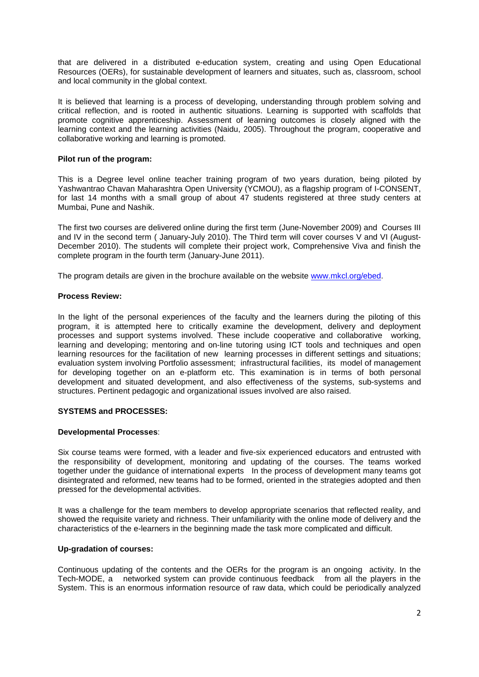that are delivered in a distributed e-education system, creating and using Open Educational Resources (OERs), for sustainable development of learners and situates, such as, classroom, school and local community in the global context.

It is believed that learning is a process of developing, understanding through problem solving and critical reflection, and is rooted in authentic situations. Learning is supported with scaffolds that promote cognitive apprenticeship. Assessment of learning outcomes is closely aligned with the learning context and the learning activities (Naidu, 2005). Throughout the program, cooperative and collaborative working and learning is promoted.

### **Pilot run of the program:**

This is a Degree level online teacher training program of two years duration, being piloted by Yashwantrao Chavan Maharashtra Open University (YCMOU), as a flagship program of I-CONSENT, for last 14 months with a small group of about 47 students registered at three study centers at Mumbai, Pune and Nashik.

The first two courses are delivered online during the first term (June-November 2009) and Courses III and IV in the second term ( January-July 2010). The Third term will cover courses V and VI (August-December 2010). The students will complete their project work, Comprehensive Viva and finish the complete program in the fourth term (January-June 2011).

The program details are given in the brochure available on the website [www.mkcl.org/ebed.](http://www.mkcl.org/ebed)

### **Process Review:**

In the light of the personal experiences of the faculty and the learners during the piloting of this program, it is attempted here to critically examine the development, delivery and deployment processes and support systems involved. These include cooperative and collaborative working, learning and developing; mentoring and on-line tutoring using ICT tools and techniques and open learning resources for the facilitation of new learning processes in different settings and situations; evaluation system involving Portfolio assessment; infrastructural facilities, its model of management for developing together on an e-platform etc. This examination is in terms of both personal development and situated development, and also effectiveness of the systems, sub-systems and structures. Pertinent pedagogic and organizational issues involved are also raised.

# **SYSTEMS and PROCESSES:**

#### **Developmental Processes**:

Six course teams were formed, with a leader and five-six experienced educators and entrusted with the responsibility of development, monitoring and updating of the courses. The teams worked together under the guidance of international experts In the process of development many teams got disintegrated and reformed, new teams had to be formed, oriented in the strategies adopted and then pressed for the developmental activities.

It was a challenge for the team members to develop appropriate scenarios that reflected reality, and showed the requisite variety and richness. Their unfamiliarity with the online mode of delivery and the characteristics of the e-learners in the beginning made the task more complicated and difficult.

# **Up-gradation of courses:**

Continuous updating of the contents and the OERs for the program is an ongoing activity. In the Tech-MODE, a networked system can provide continuous feedback from all the players in the System. This is an enormous information resource of raw data, which could be periodically analyzed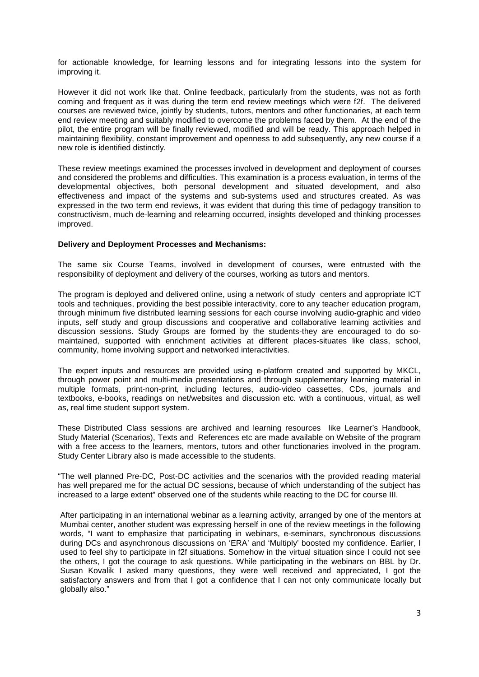for actionable knowledge, for learning lessons and for integrating lessons into the system for improving it.

However it did not work like that. Online feedback, particularly from the students, was not as forth coming and frequent as it was during the term end review meetings which were f2f. The delivered courses are reviewed twice, jointly by students, tutors, mentors and other functionaries, at each term end review meeting and suitably modified to overcome the problems faced by them. At the end of the pilot, the entire program will be finally reviewed, modified and will be ready. This approach helped in maintaining flexibility, constant improvement and openness to add subsequently, any new course if a new role is identified distinctly.

These review meetings examined the processes involved in development and deployment of courses and considered the problems and difficulties. This examination is a process evaluation, in terms of the developmental objectives, both personal development and situated development, and also effectiveness and impact of the systems and sub-systems used and structures created. As was expressed in the two term end reviews, it was evident that during this time of pedagogy transition to constructivism, much de-learning and relearning occurred, insights developed and thinking processes improved.

#### **Delivery and Deployment Processes and Mechanisms:**

The same six Course Teams, involved in development of courses, were entrusted with the responsibility of deployment and delivery of the courses, working as tutors and mentors.

The program is deployed and delivered online, using a network of study centers and appropriate ICT tools and techniques, providing the best possible interactivity, core to any teacher education program, through minimum five distributed learning sessions for each course involving audio-graphic and video inputs, self study and group discussions and cooperative and collaborative learning activities and discussion sessions. Study Groups are formed by the students-they are encouraged to do somaintained, supported with enrichment activities at different places-situates like class, school, community, home involving support and networked interactivities.

The expert inputs and resources are provided using e-platform created and supported by MKCL, through power point and multi-media presentations and through supplementary learning material in multiple formats, print-non-print, including lectures, audio-video cassettes, CDs, journals and textbooks, e-books, readings on net/websites and discussion etc. with a continuous, virtual, as well as, real time student support system.

These Distributed Class sessions are archived and learning resources like Learner's Handbook, Study Material (Scenarios), Texts and References etc are made available on Website of the program with a free access to the learners, mentors, tutors and other functionaries involved in the program. Study Center Library also is made accessible to the students.

"The well planned Pre-DC, Post-DC activities and the scenarios with the provided reading material has well prepared me for the actual DC sessions, because of which understanding of the subject has increased to a large extent" observed one of the students while reacting to the DC for course III.

After participating in an international webinar as a learning activity, arranged by one of the mentors at Mumbai center, another student was expressing herself in one of the review meetings in the following words, "I want to emphasize that participating in webinars, e-seminars, synchronous discussions during DCs and asynchronous discussions on 'ERA' and 'Multiply' boosted my confidence. Earlier, I used to feel shy to participate in f2f situations. Somehow in the virtual situation since I could not see the others, I got the courage to ask questions. While participating in the webinars on BBL by Dr. Susan Kovalik I asked many questions, they were well received and appreciated, I got the satisfactory answers and from that I got a confidence that I can not only communicate locally but globally also."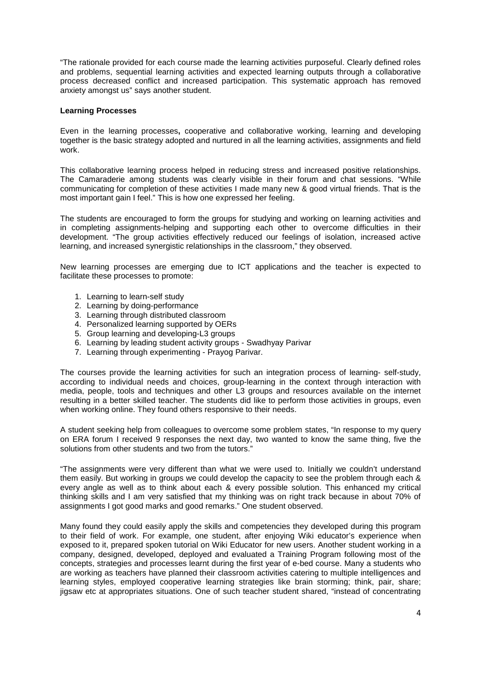"The rationale provided for each course made the learning activities purposeful. Clearly defined roles and problems, sequential learning activities and expected learning outputs through a collaborative process decreased conflict and increased participation. This systematic approach has removed anxiety amongst us" says another student.

### **Learning Processes**

Even in the learning processes**,** cooperative and collaborative working, learning and developing together is the basic strategy adopted and nurtured in all the learning activities, assignments and field work.

This collaborative learning process helped in reducing stress and increased positive relationships. The Camaraderie among students was clearly visible in their forum and chat sessions. "While communicating for completion of these activities I made many new & good virtual friends. That is the most important gain I feel." This is how one expressed her feeling.

The students are encouraged to form the groups for studying and working on learning activities and in completing assignments-helping and supporting each other to overcome difficulties in their development. "The group activities effectively reduced our feelings of isolation, increased active learning, and increased synergistic relationships in the classroom," they observed.

New learning processes are emerging due to ICT applications and the teacher is expected to facilitate these processes to promote:

- 1. Learning to learn-self study
- 2. Learning by doing-performance
- 3. Learning through distributed classroom
- 4. Personalized learning supported by OERs
- 5. Group learning and developing-L3 groups
- 6. Learning by leading student activity groups Swadhyay Parivar
- 7. Learning through experimenting Prayog Parivar.

The courses provide the learning activities for such an integration process of learning- self-study, according to individual needs and choices, group-learning in the context through interaction with media, people, tools and techniques and other L3 groups and resources available on the internet resulting in a better skilled teacher. The students did like to perform those activities in groups, even when working online. They found others responsive to their needs.

A student seeking help from colleagues to overcome some problem states, "In response to my query on ERA forum I received 9 responses the next day, two wanted to know the same thing, five the solutions from other students and two from the tutors."

"The assignments were very different than what we were used to. Initially we couldn't understand them easily. But working in groups we could develop the capacity to see the problem through each & every angle as well as to think about each & every possible solution. This enhanced my critical thinking skills and I am very satisfied that my thinking was on right track because in about 70% of assignments I got good marks and good remarks." One student observed.

Many found they could easily apply the skills and competencies they developed during this program to their field of work. For example, one student, after enjoying Wiki educator's experience when exposed to it, prepared spoken tutorial on Wiki Educator for new users. Another student working in a company, designed, developed, deployed and evaluated a Training Program following most of the concepts, strategies and processes learnt during the first year of e-bed course. Many a students who are working as teachers have planned their classroom activities catering to multiple intelligences and learning styles, employed cooperative learning strategies like brain storming; think, pair, share; jigsaw etc at appropriates situations. One of such teacher student shared, "instead of concentrating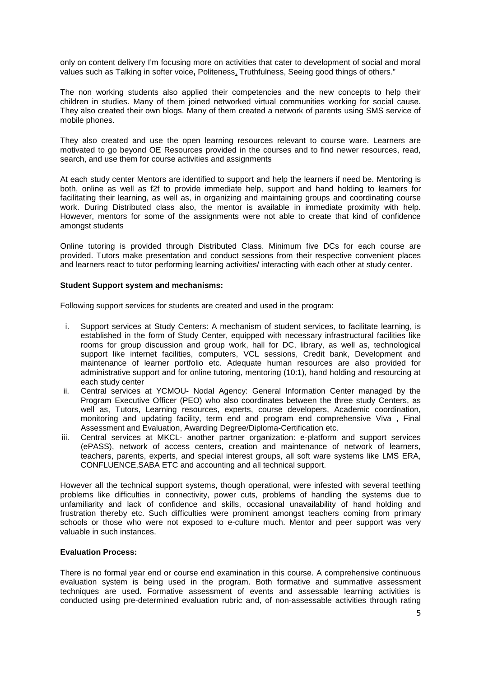only on content delivery I'm focusing more on activities that cater to development of social and moral values such as Talking in softer voice**,** Politeness, Truthfulness, Seeing good things of others."

The non working students also applied their competencies and the new concepts to help their children in studies. Many of them joined networked virtual communities working for social cause. They also created their own blogs. Many of them created a network of parents using SMS service of mobile phones.

They also created and use the open learning resources relevant to course ware. Learners are motivated to go beyond OE Resources provided in the courses and to find newer resources, read, search, and use them for course activities and assignments

At each study center Mentors are identified to support and help the learners if need be. Mentoring is both, online as well as f2f to provide immediate help, support and hand holding to learners for facilitating their learning, as well as, in organizing and maintaining groups and coordinating course work. During Distributed class also, the mentor is available in immediate proximity with help. However, mentors for some of the assignments were not able to create that kind of confidence amongst students

Online tutoring is provided through Distributed Class. Minimum five DCs for each course are provided. Tutors make presentation and conduct sessions from their respective convenient places and learners react to tutor performing learning activities/ interacting with each other at study center.

### **Student Support system and mechanisms:**

Following support services for students are created and used in the program:

- i. Support services at Study Centers: A mechanism of student services, to facilitate learning, is established in the form of Study Center, equipped with necessary infrastructural facilities like rooms for group discussion and group work, hall for DC, library, as well as, technological support like internet facilities, computers, VCL sessions, Credit bank, Development and maintenance of learner portfolio etc. Adequate human resources are also provided for administrative support and for online tutoring, mentoring (10:1), hand holding and resourcing at each study center
- ii. Central services at YCMOU- Nodal Agency: General Information Center managed by the Program Executive Officer (PEO) who also coordinates between the three study Centers, as well as, Tutors, Learning resources, experts, course developers, Academic coordination, monitoring and updating facility, term end and program end comprehensive Viva , Final Assessment and Evaluation, Awarding Degree/Diploma-Certification etc.
- iii. Central services at MKCL- another partner organization: e-platform and support services (ePASS), network of access centers, creation and maintenance of network of learners, teachers, parents, experts, and special interest groups, all soft ware systems like LMS ERA, CONFLUENCE,SABA ETC and accounting and all technical support.

However all the technical support systems, though operational, were infested with several teething problems like difficulties in connectivity, power cuts, problems of handling the systems due to unfamiliarity and lack of confidence and skills, occasional unavailability of hand holding and frustration thereby etc. Such difficulties were prominent amongst teachers coming from primary schools or those who were not exposed to e-culture much. Mentor and peer support was very valuable in such instances.

# **Evaluation Process:**

There is no formal year end or course end examination in this course. A comprehensive continuous evaluation system is being used in the program. Both formative and summative assessment techniques are used. Formative assessment of events and assessable learning activities is conducted using pre-determined evaluation rubric and, of non-assessable activities through rating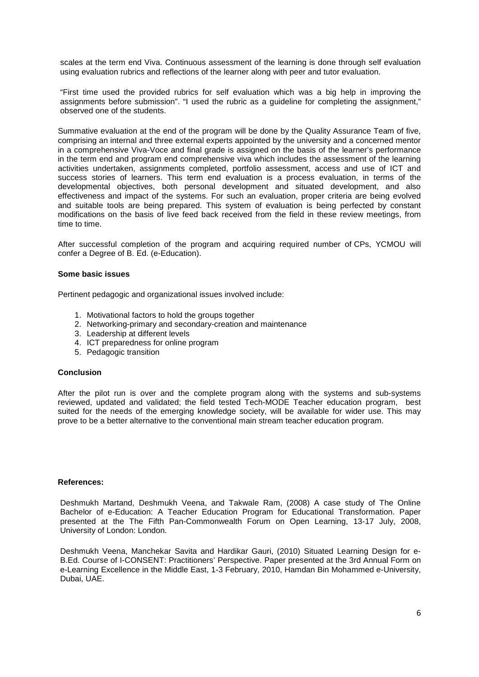scales at the term end Viva. Continuous assessment of the learning is done through self evaluation using evaluation rubrics and reflections of the learner along with peer and tutor evaluation.

"First time used the provided rubrics for self evaluation which was a big help in improving the assignments before submission". "I used the rubric as a guideline for completing the assignment," observed one of the students.

Summative evaluation at the end of the program will be done by the Quality Assurance Team of five, comprising an internal and three external experts appointed by the university and a concerned mentor in a comprehensive Viva-Voce and final grade is assigned on the basis of the learner's performance in the term end and program end comprehensive viva which includes the assessment of the learning activities undertaken, assignments completed, portfolio assessment, access and use of ICT and success stories of learners. This term end evaluation is a process evaluation, in terms of the developmental objectives, both personal development and situated development, and also effectiveness and impact of the systems. For such an evaluation, proper criteria are being evolved and suitable tools are being prepared. This system of evaluation is being perfected by constant modifications on the basis of live feed back received from the field in these review meetings, from time to time.

After successful completion of the program and acquiring required number of CPs, YCMOU will confer a Degree of B. Ed. (e-Education).

#### **Some basic issues**

Pertinent pedagogic and organizational issues involved include:

- 1. Motivational factors to hold the groups together
- 2. Networking-primary and secondary-creation and maintenance
- 3. Leadership at different levels
- 4. ICT preparedness for online program
- 5. Pedagogic transition

#### **Conclusion**

After the pilot run is over and the complete program along with the systems and sub-systems reviewed, updated and validated; the field tested Tech-MODE Teacher education program, best suited for the needs of the emerging knowledge society, will be available for wider use. This may prove to be a better alternative to the conventional main stream teacher education program.

#### **References:**

Deshmukh Martand, Deshmukh Veena, and Takwale Ram, (2008) A case study of The Online Bachelor of e-Education: A Teacher Education Program for Educational Transformation. Paper presented at the The Fifth Pan-Commonwealth Forum on Open Learning, 13-17 July, 2008, University of London: London.

Deshmukh Veena, Manchekar Savita and Hardikar Gauri, (2010) Situated Learning Design for e-B.Ed. Course of I-CONSENT: Practitioners' Perspective. Paper presented at the 3rd Annual Form on e-Learning Excellence in the Middle East, 1-3 February, 2010, Hamdan Bin Mohammed e-University, Dubai, UAE.